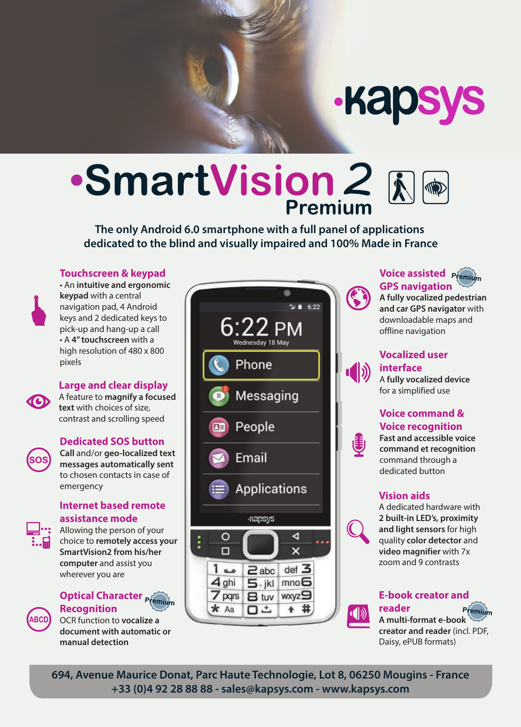# **Kapsys**

# ·SmartVision 2 &

**The only Android 6.0 smartphone with a full panel of applications dedicated to the blind and visually impaired and 100% Made in France**

#### **Touchscreen & keypad**

• An **intuitive and ergonomic keypad** with a central navigation pad, 4 Android keys and 2 dedicated keys to pick-up and hang-up a call • A **4" touchscreen** with a high resolution of 480 x 800 pixels

#### **Large and clear display**

A feature to **magnify a focused text** with choices of size, contrast and scrolling speed

#### **Dedicated SOS button**



**CO** 

**Call** and/or **geo-localized text messages automatically sent**  to chosen contacts in case of emergency

#### **Internet based remote assistance mode**



Allowing the person of your choice to **remotely access your SmartVision2 from his/her computer** and assist you wherever you are

# **Optical Character <b>Premium Recognition**



OCR function to **vocalize a document with automatic or manual detection**



#### **Voice assisted GPS navigation**



#### **A fully vocalized pedestrian and car GPS navigator** with downloadable maps and offline navigation

#### **Vocalized user interface**

A **fully vocalized device** for a simplified use

## **Voice command & Voice recognition**



**Fast and accessible voice command et recognition**  command through a dedicated button

#### **Vision aids**

A dedicated hardware with **2 built-in LED's, proximity and light sensors** for high quality **color detector** and **video magnifier** with 7x zoom and 9 contrasts

#### **E-book creator and reader**

Premium

**A multi-format e-book creator and reader** (incl. PDF, Daisy, ePUB formats)

**694, Avenue Maurice Donat, Parc Haute Technologie, Lot 8, 06250 Mougins - France +33 (0)4 92 28 88 88 - sales@kapsys.com - www.kapsys.com**